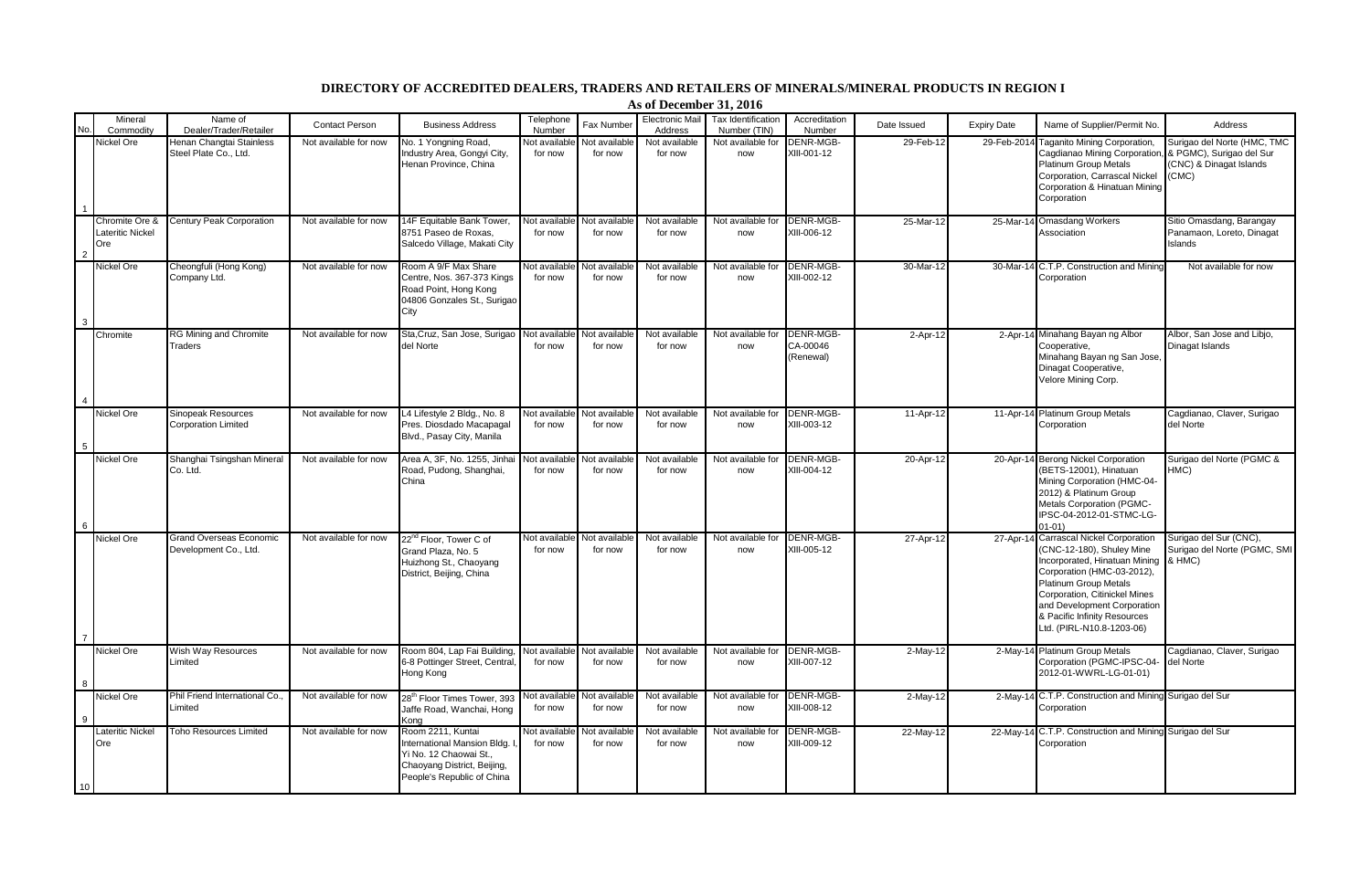## **DIRECTORY OF ACCREDITED DEALERS, TRADERS AND RETAILERS OF MINERALS/MINERAL PRODUCTS IN REGION I**

**As of December 31, 2016**

|    | Mineral                                   | Name of                                                 |                       |                                                                                                                                         | Telephone                       |                                        | Electronic Mail          | Tax Identification       | Accreditation                      |                 |                    |                                                                                                                                                                                                                                                                                                 |                                                                                             |
|----|-------------------------------------------|---------------------------------------------------------|-----------------------|-----------------------------------------------------------------------------------------------------------------------------------------|---------------------------------|----------------------------------------|--------------------------|--------------------------|------------------------------------|-----------------|--------------------|-------------------------------------------------------------------------------------------------------------------------------------------------------------------------------------------------------------------------------------------------------------------------------------------------|---------------------------------------------------------------------------------------------|
|    | Commodity                                 | Dealer/Trader/Retailer                                  | <b>Contact Person</b> | <b>Business Address</b>                                                                                                                 | Number                          | Fax Numbe                              | Address                  | Number (TIN)             | Number                             | Date Issued     | <b>Expiry Date</b> | Name of Supplier/Permit No.                                                                                                                                                                                                                                                                     | Address                                                                                     |
|    | Nickel Ore                                | Henan Changtai Stainless<br>Steel Plate Co., Ltd.       | Not available for now | No. 1 Yongning Road.<br>Industry Area, Gongyi City,<br>Henan Province, China                                                            | Not availabl<br>for now         | Not available<br>for now               | Not available<br>for now | Not available for<br>now | DENR-MGB-<br>XIII-001-12           | 29-Feb-12       | 29-Feb-201         | 4 Taganito Mining Corporation.<br>Cagdianao Mining Corporation<br><b>Platinum Group Metals</b><br>Corporation, Carrascal Nickel<br>Corporation & Hinatuan Mining<br>Corporation                                                                                                                 | Surigao del Norte (HMC, TMC<br>& PGMC), Surigao del Sur<br>(CNC) & Dinagat Islands<br>(CMC) |
|    | Chromite Ore &<br>Lateritic Nickel<br>Ore | <b>Century Peak Corporation</b>                         | Not available for now | 14F Equitable Bank Tower,<br>8751 Paseo de Roxas,<br>Salcedo Village, Makati City                                                       | Not available<br>for now        | Not available<br>for now               | Not available<br>for now | Not available for<br>now | DENR-MGB-<br>XIII-006-12           | 25-Mar-1:       |                    | 25-Mar-14 Omasdang Workers<br>Association                                                                                                                                                                                                                                                       | Sitio Omasdang, Barangay<br>Panamaon, Loreto, Dinagat<br><b>Islands</b>                     |
|    | Nickel Ore                                | Cheongfuli (Hong Kong)<br>Company Ltd.                  | Not available for now | Room A 9/F Max Share<br>Centre, Nos. 367-373 Kings<br>Road Point, Hong Kong<br>04806 Gonzales St., Surigao<br>City                      | <b>Not availabl</b><br>for now  | <b>Not availabl</b><br>for now         | Not available<br>for now | Not available for<br>now | DENR-MGB-<br>XIII-002-12           | 30-Mar-12       |                    | 30-Mar-14 C.T.P. Construction and Mining<br>Corporation                                                                                                                                                                                                                                         | Not available for now                                                                       |
|    | Chromite                                  | <b>RG Mining and Chromite</b><br>Traders                | Not available for now | Sta, Cruz, San Jose, Surigao<br>del Norte                                                                                               | Not availabl<br>for now         | Not available<br>for now               | Not available<br>for now | Not available for<br>now | DENR-MGB-<br>CA-00046<br>(Renewal) | 2-Apr-1:        |                    | 2-Apr-14 Minahang Bayan ng Albor<br>Cooperative.<br>Minahang Bayan ng San Jose,<br>Dinagat Cooperative,<br>Velore Mining Corp.                                                                                                                                                                  | Albor, San Jose and Libjo,<br>Dinagat Islands                                               |
|    | Nickel Ore                                | <b>Sinopeak Resources</b><br><b>Corporation Limited</b> | Not available for now | L4 Lifestyle 2 Bldg., No. 8<br>Pres. Diosdado Macapagal<br>Blvd., Pasay City, Manila                                                    | <b>Vot available</b><br>for now | Not available<br>for now               | Not available<br>for now | Not available for<br>now | DENR-MGB-<br>XIII-003-12           | $11 - Apr - 12$ |                    | 11-Apr-14 Platinum Group Metals<br>Corporation                                                                                                                                                                                                                                                  | Cagdianao, Claver, Surigao<br>del Norte                                                     |
|    | Nickel Ore                                | Shanghai Tsingshan Minera<br>Co. Ltd.                   | Not available for now | Area A, 3F, No. 1255, Jinha<br>Road, Pudong, Shanghai,<br>China                                                                         | <b>Not availabl</b><br>for now  | <b>Vot availabl</b><br>for now         | Not available<br>for now | Not available for<br>now | DENR-MGB-<br>XIII-004-12           | 20-Apr-12       |                    | 20-Apr-14 Berong Nickel Corporation<br>(BETS-12001), Hinatuan<br>Mining Corporation (HMC-04-<br>2012) & Platinum Group<br><b>Metals Corporation (PGMC-</b><br>IPSC-04-2012-01-STMC-LG-<br>01-01)                                                                                                | Surigao del Norte (PGMC &<br>HMC)                                                           |
|    | Nickel Ore                                | <b>Grand Overseas Economic</b><br>Development Co., Ltd. | Not available for now | 22 <sup>nd</sup> Floor. Tower C of<br>Grand Plaza, No. 5<br>Huizhong St., Chaoyang<br>District, Beijing, China                          | for now                         | Not available Not available<br>for now | Not available<br>for now | Not available for<br>now | DENR-MGB-<br>XIII-005-12           | 27-Apr-12       |                    | 27-Apr-14 Carrascal Nickel Corporation<br>(CNC-12-180), Shuley Mine<br>Incorporated, Hinatuan Mining<br>Corporation (HMC-03-2012).<br><b>Platinum Group Metals</b><br>Corporation, Citinickel Mines<br>and Development Corporation<br>& Pacific Infinity Resources<br>Ltd. (PIRL-N10.8-1203-06) | Surigao del Sur (CNC),<br>Surigao del Norte (PGMC, SMI<br>& HMC)                            |
|    | Nickel Ore                                | Wish Way Resources<br>Limited                           | Not available for now | Room 804, Lap Fai Building,<br>6-8 Pottinger Street, Central<br>Hong Kong                                                               | Not available<br>for now        | Not available<br>for now               | Not available<br>for now | Not available for<br>now | DENR-MGB-<br>XIII-007-12           | $2-May-12$      |                    | 2-May-14 Platinum Group Metals<br>Corporation (PGMC-IPSC-04-<br>2012-01-WWRL-LG-01-01)                                                                                                                                                                                                          | Cagdianao, Claver, Surigao<br>del Norte                                                     |
|    | Nickel Ore                                | Phil Friend International Co.<br>Limited                | Not available for now | 28 <sup>th</sup> Floor Times Tower, 393<br>Jaffe Road, Wanchai, Hong<br>Kona                                                            | Not available<br>for now        | Not available<br>for now               | Not available<br>for now | Not available for<br>now | DENR-MGB-<br>XIII-008-12           | 2-May-1:        |                    | 2-May-14 C.T.P. Construction and Mining Surigao del Sur<br>Corporation                                                                                                                                                                                                                          |                                                                                             |
| 10 | ateritic Nickel<br>Ore                    | Toho Resources Limited                                  | Not available for now | Room 2211, Kuntai<br>International Mansion Bldg.<br>Yi No. 12 Chaowai St.,<br>Chaoyang District, Beijing,<br>People's Republic of China | <b>Not available</b><br>for now | Not available<br>for now               | Not available<br>for now | Not available for<br>now | DENR-MGB-<br>XIII-009-12           | 22-May-12       |                    | 22-May-14 C.T.P. Construction and Mining Surigao del Sur<br>Corporation                                                                                                                                                                                                                         |                                                                                             |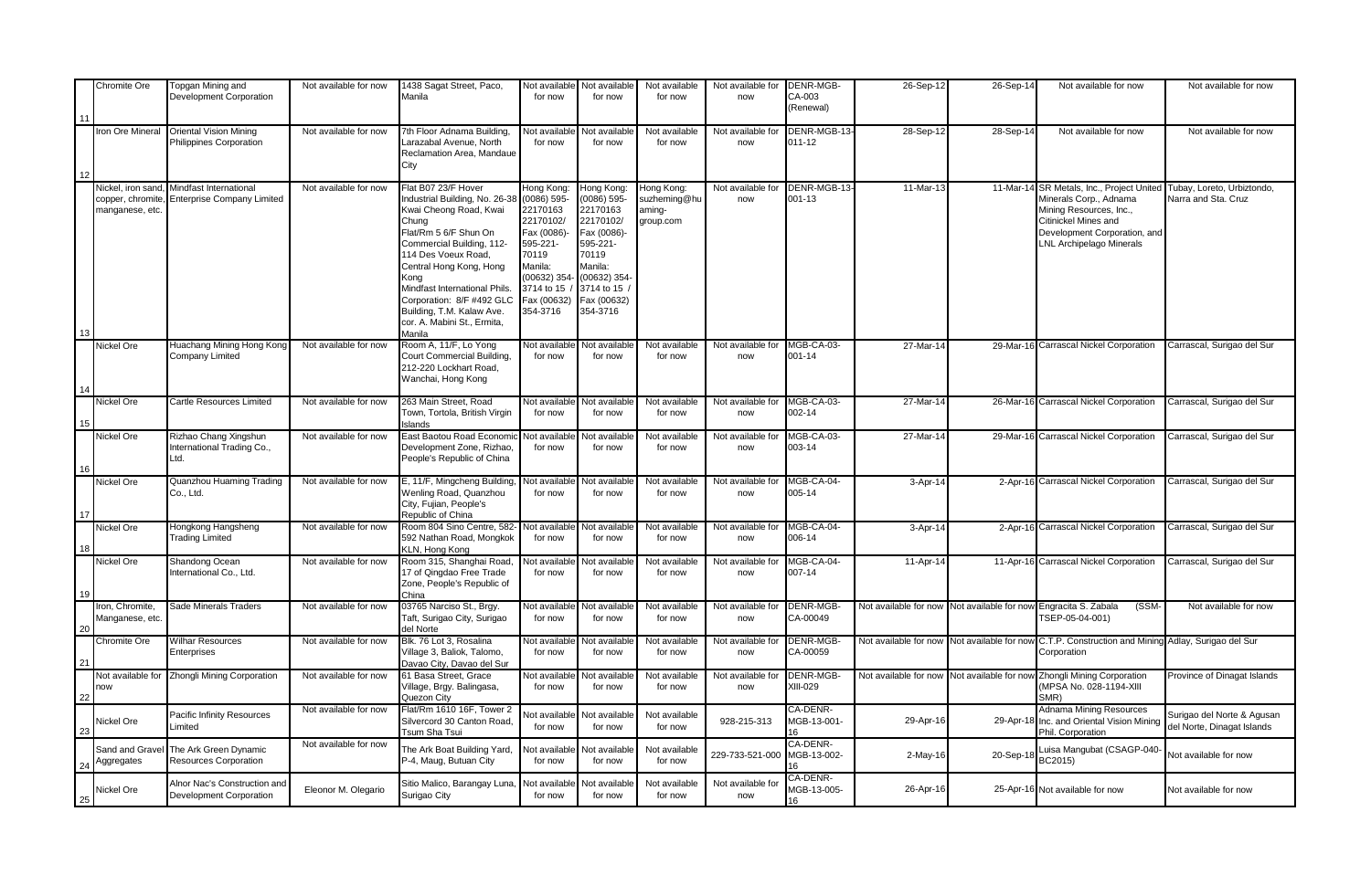|             | Chromite Ore                        | Topgan Mining and<br>Development Corporation             | Not available for now | 1438 Sagat Street, Paco,<br>Manila                       | Not available<br>for now       | Not available<br>for now        | Not available<br>for now | Not available for<br>now | DENR-MGB-<br>CA-003     | 26-Sep-12             | 26-Sep-14             | Not available for now                                                       | Not available for now                                    |
|-------------|-------------------------------------|----------------------------------------------------------|-----------------------|----------------------------------------------------------|--------------------------------|---------------------------------|--------------------------|--------------------------|-------------------------|-----------------------|-----------------------|-----------------------------------------------------------------------------|----------------------------------------------------------|
|             |                                     |                                                          |                       |                                                          |                                |                                 |                          |                          | (Renewal)               |                       |                       |                                                                             |                                                          |
| 11          |                                     |                                                          |                       |                                                          |                                |                                 |                          |                          |                         |                       |                       |                                                                             |                                                          |
|             | ron Ore Mineral                     | <b>Oriental Vision Mining</b><br>Philippines Corporation | Not available for now | 7th Floor Adnama Building,<br>Larazabal Avenue, North    | <b>Not availabl</b><br>for now | <b>Vot available</b><br>for now | Not available<br>for now | Not available for<br>now | DENR-MGB-13-<br>011-12  | 28-Sep-12             | 28-Sep-14             | Not available for now                                                       | Not available for now                                    |
|             |                                     |                                                          |                       | Reclamation Area, Mandaue                                |                                |                                 |                          |                          |                         |                       |                       |                                                                             |                                                          |
|             |                                     |                                                          |                       | City                                                     |                                |                                 |                          |                          |                         |                       |                       |                                                                             |                                                          |
|             | <b>Nickel, iron sand</b>            | Mindfast International                                   | Not available for now | Flat B07 23/F Hover                                      | long Kong:                     | Hong Kong:                      | Hong Kong:               | Not available for        | DENR-MGB-13             | 11-Mar-1              |                       | 11-Mar-14 SR Metals, Inc., Project United                                   | Tubay, Loreto, Urbiztondo,                               |
|             | copper, chromite<br>manganese, etc. | <b>Enterprise Company Limited</b>                        |                       | Industrial Building, No. 26-38<br>Kwai Cheong Road, Kwai | $(0086) 595 -$<br>22170163     | 0086) 595-<br>22170163          | suzheming@hu<br>aming-   | now                      | 001-13                  |                       |                       | Minerals Corp., Adnama<br>Mining Resources, Inc.,                           | Narra and Sta. Cruz                                      |
|             |                                     |                                                          |                       | Chung                                                    | 22170102/                      | 22170102/                       | group.com                |                          |                         |                       |                       | Citinickel Mines and                                                        |                                                          |
|             |                                     |                                                          |                       | Flat/Rm 5 6/F Shun On<br>Commercial Building, 112-       | Fax (0086)<br>595-221-         | Fax (0086)-<br>595-221-         |                          |                          |                         |                       |                       | Development Corporation, and<br><b>LNL Archipelago Minerals</b>             |                                                          |
|             |                                     |                                                          |                       | 114 Des Voeux Road,                                      | 70119                          | 70119                           |                          |                          |                         |                       |                       |                                                                             |                                                          |
|             |                                     |                                                          |                       | Central Hong Kong, Hong                                  | Manila:                        | Manila:                         |                          |                          |                         |                       |                       |                                                                             |                                                          |
|             |                                     |                                                          |                       | Kong<br>Mindfast International Phils.                    | (00632) 354-<br>3714 to 15     | $(00632)$ 354<br>3714 to 15 /   |                          |                          |                         |                       |                       |                                                                             |                                                          |
|             |                                     |                                                          |                       | Corporation: 8/F #492 GLC                                | Fax (00632)                    | Fax (00632)                     |                          |                          |                         |                       |                       |                                                                             |                                                          |
|             |                                     |                                                          |                       | Building, T.M. Kalaw Ave.<br>cor. A. Mabini St., Ermita, | 354-3716                       | 354-3716                        |                          |                          |                         |                       |                       |                                                                             |                                                          |
|             |                                     |                                                          |                       | Manila                                                   |                                |                                 |                          |                          |                         |                       |                       |                                                                             |                                                          |
|             | <b>Nickel Ore</b>                   | Huachang Mining Hong Kong<br>Company Limited             | Not available for now | Room A, 11/F, Lo Yong<br>Court Commercial Building,      | <b>Not availabl</b><br>for now | <b>Vot available</b><br>for now | Not available<br>for now | Not available for<br>now | MGB-CA-03-<br>001-14    | 27-Mar-1              |                       | 29-Mar-16 Carrascal Nickel Corporation                                      | Carrascal, Surigao del Sur                               |
|             |                                     |                                                          |                       | 212-220 Lockhart Road,                                   |                                |                                 |                          |                          |                         |                       |                       |                                                                             |                                                          |
|             |                                     |                                                          |                       | Wanchai, Hong Kong                                       |                                |                                 |                          |                          |                         |                       |                       |                                                                             |                                                          |
|             | Nickel Ore                          | Cartle Resources Limited                                 | Not available for now | 263 Main Street, Road                                    | Not availabl                   | Not availabl                    | Not available            | Not available for        | MGB-CA-03-              | 27-Mar-1              |                       | 26-Mar-16 Carrascal Nickel Corporation                                      | Carrascal, Surigao del Sur                               |
|             |                                     |                                                          |                       | Town, Tortola, British Virgin<br><b>Islands</b>          | for now                        | for now                         | for now                  | now                      | 002-14                  |                       |                       |                                                                             |                                                          |
|             | Nickel Ore                          | Rizhao Chang Xingshun                                    | Not available for now | East Baotou Road Economi                                 | <b>Vot availab</b>             | lot availabl                    | Not available            | Not available for        | MGB-CA-03-              | 27-Mar-1              |                       | 29-Mar-16 Carrascal Nickel Corporation                                      | Carrascal, Surigao del Sur                               |
|             |                                     | nternational Trading Co.,<br>Ltd.                        |                       | Development Zone, Rizhao,<br>People's Republic of China  | for now                        | for now                         | for now                  | now                      | 003-14                  |                       |                       |                                                                             |                                                          |
| 16          |                                     |                                                          |                       |                                                          |                                |                                 |                          |                          |                         |                       |                       |                                                                             |                                                          |
|             | Nickel Ore                          | Quanzhou Huaming Trading                                 | Not available for now | E, 11/F, Mingcheng Building                              | Not availabl                   | <b>Vot available</b>            | Not available            | Not available for        | MGB-CA-04-<br>005-14    | 3-Apr-14              |                       | 2-Apr-16 Carrascal Nickel Corporation                                       | Carrascal, Surigao del Sur                               |
|             |                                     | Co., Ltd.                                                |                       | Wenling Road, Quanzhou<br>City, Fujian, People's         | for now                        | for now                         | for now                  | now                      |                         |                       |                       |                                                                             |                                                          |
| 17          |                                     |                                                          |                       | Republic of China                                        |                                |                                 |                          |                          |                         |                       |                       |                                                                             |                                                          |
|             | <b>Nickel Ore</b>                   | Hongkong Hangsheng<br><b>Trading Limited</b>             | Not available for now | Room 804 Sino Centre, 582<br>592 Nathan Road, Mongkok    | lot availab<br>for now         | <b>Jot available</b><br>for now | Not available<br>for now | Not available for<br>now | MGB-CA-04-<br>006-14    | $3-Apr-1$             |                       | 2-Apr-16 Carrascal Nickel Corporation                                       | Carrascal, Surigao del Sur                               |
| 18          |                                     |                                                          |                       | KLN, Hong Kong                                           |                                |                                 |                          |                          |                         |                       |                       |                                                                             |                                                          |
|             | <b>Nickel Ore</b>                   | Shandong Ocean<br>nternational Co., Ltd.                 | Not available for now | Room 315, Shanghai Road,<br>17 of Qingdao Free Trade     | <b>Vot availab</b><br>for now  | lot availabl<br>for now         | Not available<br>for now | Not available for<br>now | MGB-CA-04-<br>007-14    | 11-Apr-14             |                       | 11-Apr-16 Carrascal Nickel Corporation                                      | Carrascal, Surigao del Sur                               |
|             |                                     |                                                          |                       | Zone, People's Republic of                               |                                |                                 |                          |                          |                         |                       |                       |                                                                             |                                                          |
| 19          | ron, Chromite.                      | Sade Minerals Traders                                    | Not available for now | China<br>03765 Narciso St., Brgy.                        | <b>Not availabl</b>            | <b>Vot available</b>            | Not available            | Not available for        | <b>DENR-MGB-</b>        | Not available for nov | Not available for now | Engracita S. Zabala<br>(SSM                                                 | Not available for now                                    |
|             | Aanganese, etc.                     |                                                          |                       | Taft, Surigao City, Surigao                              | for now                        | for now                         | for now                  | now                      | CA-00049                |                       |                       | TSEP-05-04-001)                                                             |                                                          |
| 20          | Chromite Ore                        | <b>Wilhar Resources</b>                                  | Not available for now | del Norte<br>Blk. 76 Lot 3, Rosalina                     | Not availabl                   | <b>Not available</b>            | Not available            | Not available for        | <b>DENR-MGB-</b>        | Not available for now |                       | Not available for now C.T.P. Construction and Mining Adlay, Surigao del Sur |                                                          |
|             |                                     | Enterprises                                              |                       | Village 3, Baliok, Talomo,                               | for now                        | for now                         | for now                  | now                      | CA-00059                |                       |                       | Corporation                                                                 |                                                          |
| $2^{\circ}$ | Not available for                   | <b>Zhongli Mining Corporation</b>                        | Not available for now | Davao City, Davao del Sur<br>61 Basa Street, Grace       | Not availabl                   | <b>Jot available</b>            | Not available            | Not available for        | <b>DENR-MGB-</b>        | Not available for now |                       | Not available for now Zhongli Mining Corporation                            | Province of Dinagat Islands                              |
|             | now                                 |                                                          |                       | Village, Brgy. Balingasa,                                | for now                        | for now                         | for now                  | now                      | <b>XIII-029</b>         |                       |                       | (MPSA No. 028-1194-XIII                                                     |                                                          |
|             |                                     |                                                          | Not available for now | Quezon City<br>lat/Rm 1610 16F, Tower 2                  |                                |                                 |                          |                          | CA-DENR-                |                       |                       | SMR)<br>Adnama Mining Resources                                             |                                                          |
|             | <b>Nickel Ore</b>                   | Pacific Infinity Resources<br>_imited                    |                       | Silvercord 30 Canton Road.                               | <b>Vot availabl</b><br>for now | <b>Jot available</b><br>for now | Not available<br>for now | 928-215-313              | MGB-13-001-             | 29-Apr-16             | 29-Apr-1              | Inc. and Oriental Vision Mining                                             | Surigao del Norte & Agusan<br>del Norte, Dinagat Islands |
|             |                                     |                                                          |                       | Tsum Sha Tsui                                            |                                |                                 |                          |                          |                         |                       |                       | Phil. Corporation                                                           |                                                          |
|             | Sand and Grave                      | The Ark Green Dynamic                                    | Not available for now | The Ark Boat Building Yard,                              | <b>Vot available</b>           | <b>Vot available</b>            | Not available            | 229-733-521-000          | CA-DENR-<br>MGB-13-002- | 2-May-16              | 20-Sep-1              | uisa Mangubat (CSAGP-040                                                    | Not available for now                                    |
|             | Aggregates                          | Resources Corporation                                    |                       | P-4, Maug, Butuan City                                   | for now                        | for now                         | for now                  |                          | 16                      |                       |                       | BC2015)                                                                     |                                                          |
|             | Nickel Ore                          | Alnor Nac's Construction and                             | Eleonor M. Olegario   | Sitio Malico, Barangay Luna                              | Not available                  | <b>Vot available</b>            | Not available            | Not available for        | CA-DENR-<br>MGB-13-005- | 26-Apr-16             |                       | 25-Apr-16 Not available for now                                             | Not available for now                                    |
| 25          |                                     | Development Corporation                                  |                       | Surigao City                                             | for now                        | for now                         | for now                  | now                      | 16                      |                       |                       |                                                                             |                                                          |